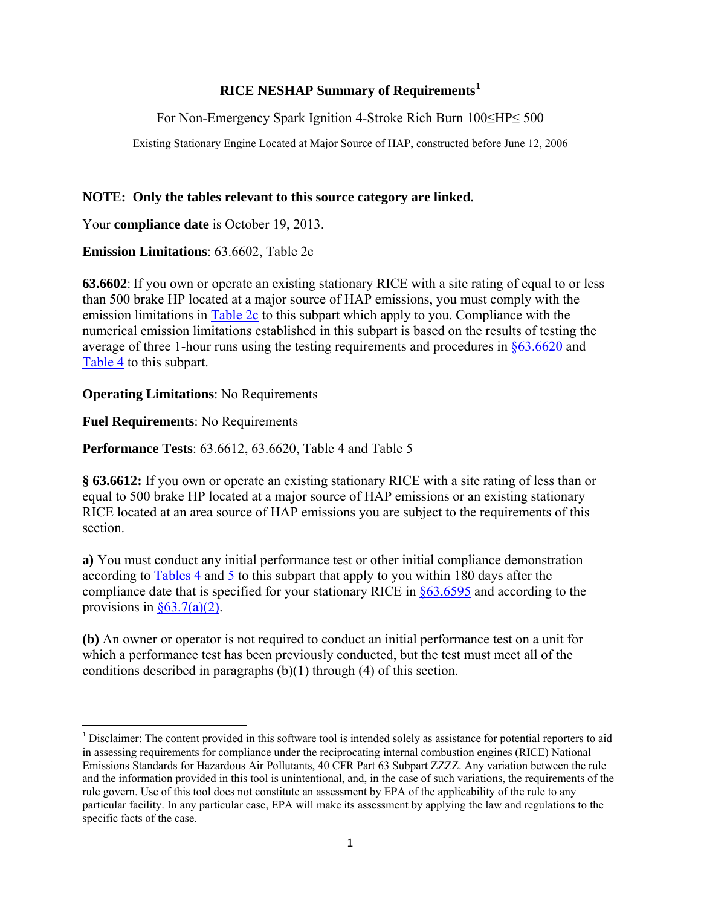#### **RICE NESHAP Summary of Requirements[1](#page-0-0)**

For Non-Emergency Spark Ignition 4-Stroke Rich Burn 100≤HP≤ 500

Existing Stationary Engine Located at Major Source of HAP, constructed before June 12, 2006

### **NOTE: Only the tables relevant to this source category are linked.**

Your **compliance date** is October 19, 2013.

**Emission Limitations**: 63.6602, Table 2c

**63.6602**: If you own or operate an existing stationary RICE with a site rating of equal to or less than 500 brake HP located at a major source of HAP emissions, you must comply with the emission limitations in [Table 2c](http://ecfr.gpoaccess.gov/cgi/t/text/text-idx?c=ecfr&sid=515d778a8a1bae4f834e821dd4d89f21&rgn=div9&view=text&node=40:13.0.1.1.1.1.116.27.5&idno=40) to this subpart which apply to you. Compliance with the numerical emission limitations established in this subpart is based on the results of testing the average of three 1-hour runs using the testing requirements and procedures in [§63.6620](http://ecfr.gpoaccess.gov/cgi/t/text/text-idx?c=ecfr&sid=029488cd44f46b151b9aec5150db89b6&rgn=div8&view=text&node=40:13.0.1.1.1.1.112.15&idno=40) and [Table 4](http://ecfr.gpoaccess.gov/cgi/t/text/text-idx?c=ecfr&sid=515d778a8a1bae4f834e821dd4d89f21&rgn=div9&view=text&node=40:13.0.1.1.1.1.116.27.8&idno=40) to this subpart.

# **Operating Limitations**: No Requirements

**Fuel Requirements**: No Requirements

**Performance Tests**: 63.6612, 63.6620, Table 4 and Table 5

**§ 63.6612:** If you own or operate an existing stationary RICE with a site rating of less than or equal to 500 brake HP located at a major source of HAP emissions or an existing stationary RICE located at an area source of HAP emissions you are subject to the requirements of this section.

**a)** You must conduct any initial performance test or other initial compliance demonstration according to [Tables 4](http://ecfr.gpoaccess.gov/cgi/t/text/text-idx?c=ecfr&sid=515d778a8a1bae4f834e821dd4d89f21&rgn=div9&view=text&node=40:13.0.1.1.1.1.116.27.8&idno=40) and [5](http://ecfr.gpoaccess.gov/cgi/t/text/text-idx?c=ecfr&sid=515d778a8a1bae4f834e821dd4d89f21&rgn=div9&view=text&node=40:13.0.1.1.1.1.116.27.9&idno=40) to this subpart that apply to you within 180 days after the compliance date that is specified for your stationary RICE in [§63.6595](http://ecfr.gpoaccess.gov/cgi/t/text/text-idx?c=ecfr&sid=dc878fa5cf8237b03b7b19281bd5a59d&rgn=div8&view=text&node=40:13.0.1.1.1.1.109.4&idno=40) and according to the provisions in  $\frac{\$63.7(a)(2)}{a}$ .

**(b)** An owner or operator is not required to conduct an initial performance test on a unit for which a performance test has been previously conducted, but the test must meet all of the conditions described in paragraphs (b)(1) through (4) of this section.

<span id="page-0-0"></span><sup>&</sup>lt;sup>1</sup> Disclaimer: The content provided in this software tool is intended solely as assistance for potential reporters to aid in assessing requirements for compliance under the reciprocating internal combustion engines (RICE) National Emissions Standards for Hazardous Air Pollutants, 40 CFR Part 63 Subpart ZZZZ. Any variation between the rule and the information provided in this tool is unintentional, and, in the case of such variations, the requirements of the rule govern. Use of this tool does not constitute an assessment by EPA of the applicability of the rule to any particular facility. In any particular case, EPA will make its assessment by applying the law and regulations to the specific facts of the case.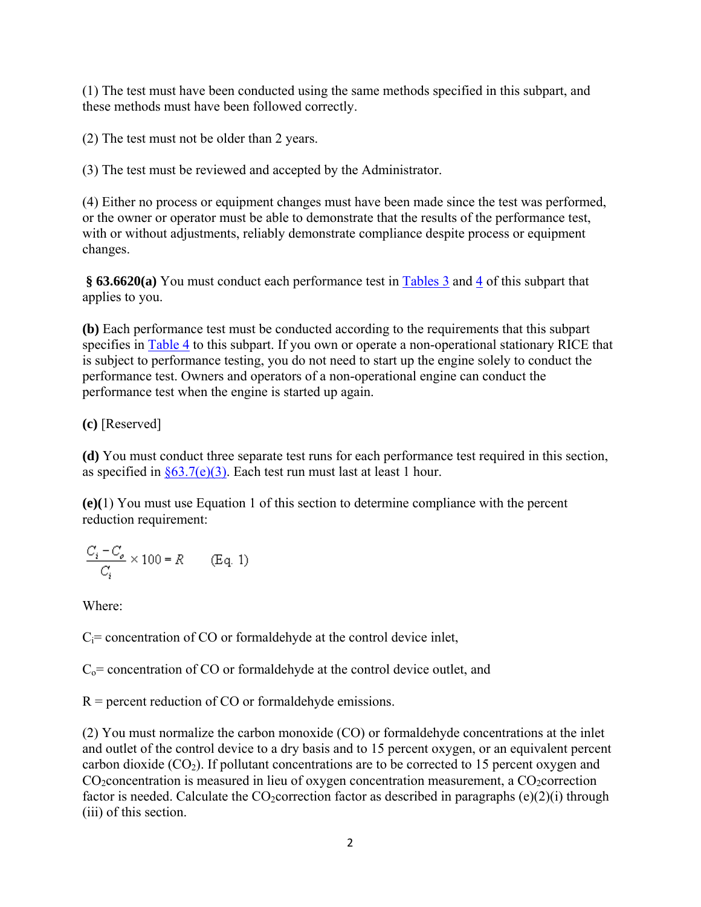(1) The test must have been conducted using the same methods specified in this subpart, and these methods must have been followed correctly.

(2) The test must not be older than 2 years.

(3) The test must be reviewed and accepted by the Administrator.

(4) Either no process or equipment changes must have been made since the test was performed, or the owner or operator must be able to demonstrate that the results of the performance test, with or without adjustments, reliably demonstrate compliance despite process or equipment changes.

§ **63.6620(a)** You must conduct each performance test in **Tables 3** and [4](http://ecfr.gpoaccess.gov/cgi/t/text/text-idx?c=ecfr&sid=515d778a8a1bae4f834e821dd4d89f21&rgn=div9&view=text&node=40:13.0.1.1.1.1.116.27.8&idno=40) of this subpart that applies to you.

**(b)** Each performance test must be conducted according to the requirements that this subpart specifies in [Table 4](http://ecfr.gpoaccess.gov/cgi/t/text/text-idx?c=ecfr&sid=515d778a8a1bae4f834e821dd4d89f21&rgn=div9&view=text&node=40:13.0.1.1.1.1.116.27.8&idno=40) to this subpart. If you own or operate a non-operational stationary RICE that is subject to performance testing, you do not need to start up the engine solely to conduct the performance test. Owners and operators of a non-operational engine can conduct the performance test when the engine is started up again.

# **(c)** [Reserved]

**(d)** You must conduct three separate test runs for each performance test required in this section, as specified in  $\S 63.7(e)(3)$ . Each test run must last at least 1 hour.

**(e)(**1) You must use Equation 1 of this section to determine compliance with the percent reduction requirement:

$$
\frac{C_i - C_o}{C_i} \times 100 = R
$$
 (Eq. 1)

Where:

 $C_i$ = concentration of CO or formaldehyde at the control device inlet,

 $C_0$  = concentration of CO or formaldehyde at the control device outlet, and

 $R$  = percent reduction of CO or formaldehyde emissions.

(2) You must normalize the carbon monoxide (CO) or formaldehyde concentrations at the inlet and outlet of the control device to a dry basis and to 15 percent oxygen, or an equivalent percent carbon dioxide  $(CO<sub>2</sub>)$ . If pollutant concentrations are to be corrected to 15 percent oxygen and  $CO<sub>2</sub> concentration$  is measured in lieu of oxygen concentration measurement, a  $CO<sub>2</sub> correction$ factor is needed. Calculate the  $CO_2$ correction factor as described in paragraphs (e)(2)(i) through (iii) of this section.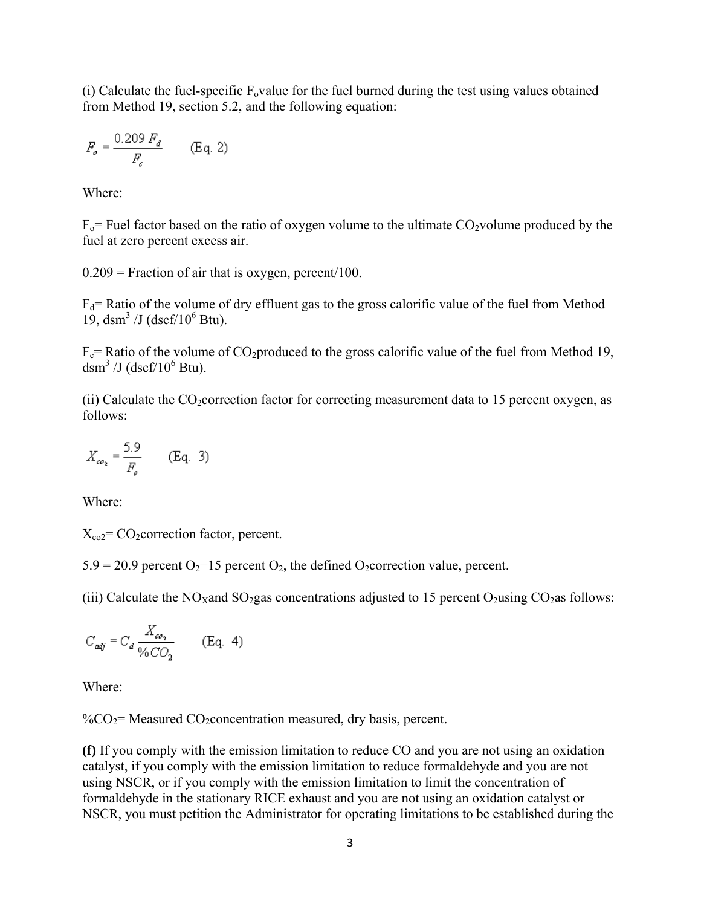(i) Calculate the fuel-specific  $F_0$  value for the fuel burned during the test using values obtained from Method 19, section 5.2, and the following equation:

$$
F_{\rho} = \frac{0.209 \, F_d}{F_c} \qquad \text{(Eq. 2)}
$$

Where:

 $F_0$ = Fuel factor based on the ratio of oxygen volume to the ultimate CO2volume produced by the fuel at zero percent excess air.

 $0.209$  = Fraction of air that is oxygen, percent/100.

 $F_d$ = Ratio of the volume of dry effluent gas to the gross calorific value of the fuel from Method 19, dsm<sup>3</sup> /J (dscf/10<sup>6</sup> Btu).

 $F_c$ = Ratio of the volume of CO<sub>2</sub>produced to the gross calorific value of the fuel from Method 19, dsm<sup>3</sup> /J (dscf/ $10^6$  Btu).

(ii) Calculate the  $CO_2$  correction factor for correcting measurement data to 15 percent oxygen, as follows:

$$
X_{\omega_2} = \frac{5.9}{F_o} \qquad \text{(Eq. 3)}
$$

Where:

 $X_{\text{co2}}$ = CO<sub>2</sub>correction factor, percent.

 $5.9 = 20.9$  percent O<sub>2</sub>−15 percent O<sub>2</sub>, the defined O<sub>2</sub>correction value, percent.

(iii) Calculate the NO<sub>X</sub>and SO<sub>2</sub>gas concentrations adjusted to 15 percent O<sub>2</sub>using CO<sub>2</sub>as follows:

$$
C_{\textit{adj}} = C_d \frac{X_{\omega_2}}{\sqrt{6C_2}} \qquad \text{(Eq. 4)}
$$

Where:

 $\%CO<sub>2</sub>$  Measured CO<sub>2</sub> concentration measured, dry basis, percent.

**(f)** If you comply with the emission limitation to reduce CO and you are not using an oxidation catalyst, if you comply with the emission limitation to reduce formaldehyde and you are not using NSCR, or if you comply with the emission limitation to limit the concentration of formaldehyde in the stationary RICE exhaust and you are not using an oxidation catalyst or NSCR, you must petition the Administrator for operating limitations to be established during the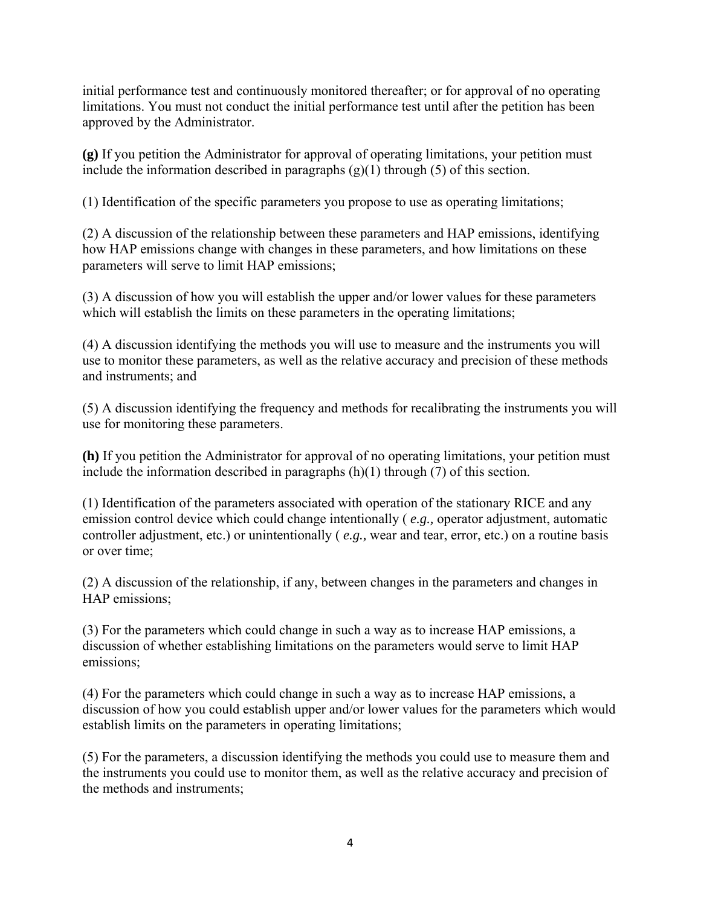initial performance test and continuously monitored thereafter; or for approval of no operating limitations. You must not conduct the initial performance test until after the petition has been approved by the Administrator.

**(g)** If you petition the Administrator for approval of operating limitations, your petition must include the information described in paragraphs (g)(1) through (5) of this section.

(1) Identification of the specific parameters you propose to use as operating limitations;

(2) A discussion of the relationship between these parameters and HAP emissions, identifying how HAP emissions change with changes in these parameters, and how limitations on these parameters will serve to limit HAP emissions;

(3) A discussion of how you will establish the upper and/or lower values for these parameters which will establish the limits on these parameters in the operating limitations;

(4) A discussion identifying the methods you will use to measure and the instruments you will use to monitor these parameters, as well as the relative accuracy and precision of these methods and instruments; and

(5) A discussion identifying the frequency and methods for recalibrating the instruments you will use for monitoring these parameters.

**(h)** If you petition the Administrator for approval of no operating limitations, your petition must include the information described in paragraphs (h)(1) through (7) of this section.

(1) Identification of the parameters associated with operation of the stationary RICE and any emission control device which could change intentionally ( *e.g.,* operator adjustment, automatic controller adjustment, etc.) or unintentionally ( *e.g.,* wear and tear, error, etc.) on a routine basis or over time;

(2) A discussion of the relationship, if any, between changes in the parameters and changes in HAP emissions;

(3) For the parameters which could change in such a way as to increase HAP emissions, a discussion of whether establishing limitations on the parameters would serve to limit HAP emissions;

(4) For the parameters which could change in such a way as to increase HAP emissions, a discussion of how you could establish upper and/or lower values for the parameters which would establish limits on the parameters in operating limitations;

(5) For the parameters, a discussion identifying the methods you could use to measure them and the instruments you could use to monitor them, as well as the relative accuracy and precision of the methods and instruments;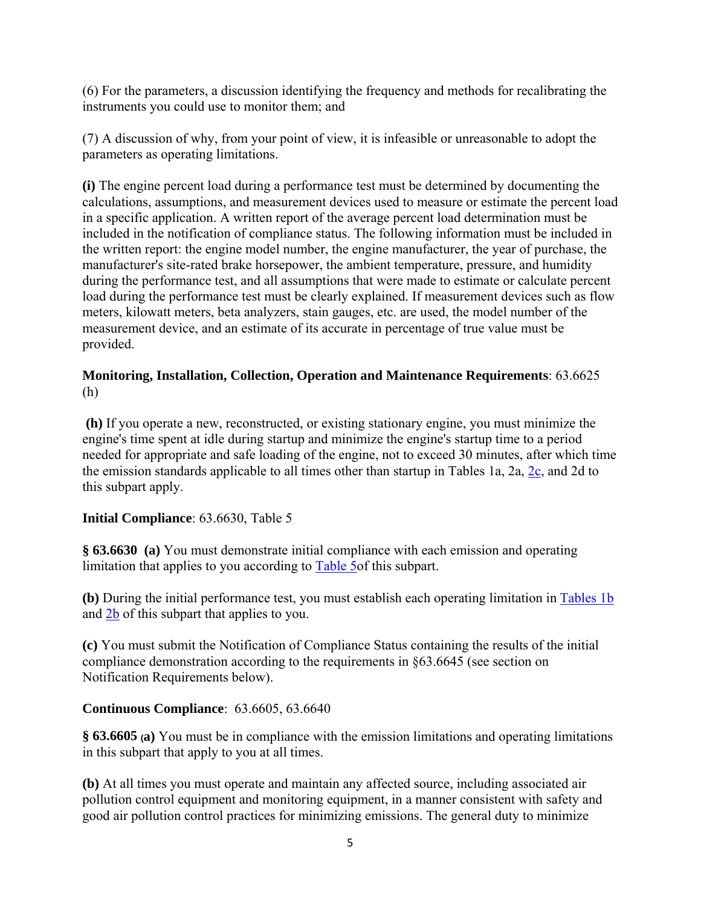(6) For the parameters, a discussion identifying the frequency and methods for recalibrating the instruments you could use to monitor them; and

(7) A discussion of why, from your point of view, it is infeasible or unreasonable to adopt the parameters as operating limitations.

**(i)** The engine percent load during a performance test must be determined by documenting the calculations, assumptions, and measurement devices used to measure or estimate the percent load in a specific application. A written report of the average percent load determination must be included in the notification of compliance status. The following information must be included in the written report: the engine model number, the engine manufacturer, the year of purchase, the manufacturer's site-rated brake horsepower, the ambient temperature, pressure, and humidity during the performance test, and all assumptions that were made to estimate or calculate percent load during the performance test must be clearly explained. If measurement devices such as flow meters, kilowatt meters, beta analyzers, stain gauges, etc. are used, the model number of the measurement device, and an estimate of its accurate in percentage of true value must be provided.

### **Monitoring, Installation, Collection, Operation and Maintenance Requirements**: 63.6625 (h)

 **(h)** If you operate a new, reconstructed, or existing stationary engine, you must minimize the engine's time spent at idle during startup and minimize the engine's startup time to a period needed for appropriate and safe loading of the engine, not to exceed 30 minutes, after which time the emission standards applicable to all times other than startup in Tables 1a, 2a, [2c,](http://ecfr.gpoaccess.gov/cgi/t/text/text-idx?c=ecfr&sid=515d778a8a1bae4f834e821dd4d89f21&rgn=div9&view=text&node=40:13.0.1.1.1.1.116.27.5&idno=40) and 2d to this subpart apply.

# **Initial Compliance**: 63.6630, Table 5

**§ 63.6630 (a)** You must demonstrate initial compliance with each emission and operating limitation that applies to you according to [Table 5o](http://ecfr.gpoaccess.gov/cgi/t/text/text-idx?c=ecfr&sid=515d778a8a1bae4f834e821dd4d89f21&rgn=div9&view=text&node=40:13.0.1.1.1.1.116.27.9&idno=40)f this subpart.

**(b)** During the initial performance test, you must establish each operating limitation in [Tables 1b](http://ecfr.gpoaccess.gov/cgi/t/text/text-idx?c=ecfr&sid=515d778a8a1bae4f834e821dd4d89f21&rgn=div9&view=text&node=40:13.0.1.1.1.1.116.27.2&idno=40) and [2b](http://ecfr.gpoaccess.gov/cgi/t/text/text-idx?c=ecfr&sid=515d778a8a1bae4f834e821dd4d89f21&rgn=div9&view=text&node=40:13.0.1.1.1.1.116.27.4&idno=40) of this subpart that applies to you.

**(c)** You must submit the Notification of Compliance Status containing the results of the initial compliance demonstration according to the requirements in §63.6645 (see section on Notification Requirements below).

#### **Continuous Compliance**: 63.6605, 63.6640

**§ 63.6605 (a)** You must be in compliance with the emission limitations and operating limitations in this subpart that apply to you at all times.

**(b)** At all times you must operate and maintain any affected source, including associated air pollution control equipment and monitoring equipment, in a manner consistent with safety and good air pollution control practices for minimizing emissions. The general duty to minimize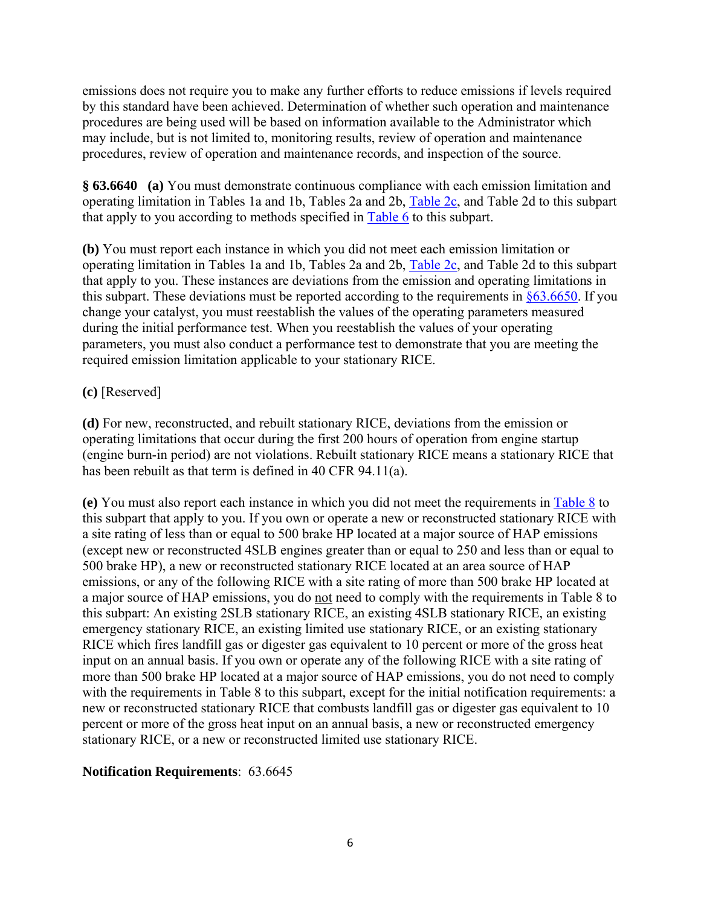emissions does not require you to make any further efforts to reduce emissions if levels required by this standard have been achieved. Determination of whether such operation and maintenance procedures are being used will be based on information available to the Administrator which may include, but is not limited to, monitoring results, review of operation and maintenance procedures, review of operation and maintenance records, and inspection of the source.

**§ 63.6640 (a)** You must demonstrate continuous compliance with each emission limitation and operating limitation in Tables 1a and 1b, Tables 2a and 2b, [Table 2c](http://ecfr.gpoaccess.gov/cgi/t/text/text-idx?c=ecfr&sid=515d778a8a1bae4f834e821dd4d89f21&rgn=div9&view=text&node=40:13.0.1.1.1.1.116.27.5&idno=40), and Table 2d to this subpart that apply to you according to methods specified in [Table 6](http://ecfr.gpoaccess.gov/cgi/t/text/text-idx?c=ecfr&sid=515d778a8a1bae4f834e821dd4d89f21&rgn=div9&view=text&node=40:13.0.1.1.1.1.116.27.12&idno=40) to this subpart.

**(b)** You must report each instance in which you did not meet each emission limitation or operating limitation in Tables 1a and 1b, Tables 2a and 2b, [Table 2c](http://ecfr.gpoaccess.gov/cgi/t/text/text-idx?c=ecfr&sid=515d778a8a1bae4f834e821dd4d89f21&rgn=div9&view=text&node=40:13.0.1.1.1.1.116.27.5&idno=40), and Table 2d to this subpart that apply to you. These instances are deviations from the emission and operating limitations in this subpart. These deviations must be reported according to the requirements in  $§63.6650$ . If you change your catalyst, you must reestablish the values of the operating parameters measured during the initial performance test. When you reestablish the values of your operating parameters, you must also conduct a performance test to demonstrate that you are meeting the required emission limitation applicable to your stationary RICE.

# **(c)** [Reserved]

**(d)** For new, reconstructed, and rebuilt stationary RICE, deviations from the emission or operating limitations that occur during the first 200 hours of operation from engine startup (engine burn-in period) are not violations. Rebuilt stationary RICE means a stationary RICE that has been rebuilt as that term is defined in 40 CFR 94.11(a).

**(e)** You must also report each instance in which you did not meet the requirements in [Table 8](http://ecfr.gpoaccess.gov/cgi/t/text/text-idx?c=ecfr&sid=515d778a8a1bae4f834e821dd4d89f21&rgn=div9&view=text&node=40:13.0.1.1.1.1.116.27.12&idno=40) to this subpart that apply to you. If you own or operate a new or reconstructed stationary RICE with a site rating of less than or equal to 500 brake HP located at a major source of HAP emissions (except new or reconstructed 4SLB engines greater than or equal to 250 and less than or equal to 500 brake HP), a new or reconstructed stationary RICE located at an area source of HAP emissions, or any of the following RICE with a site rating of more than 500 brake HP located at a major source of HAP emissions, you do not need to comply with the requirements in Table 8 to this subpart: An existing 2SLB stationary RICE, an existing 4SLB stationary RICE, an existing emergency stationary RICE, an existing limited use stationary RICE, or an existing stationary RICE which fires landfill gas or digester gas equivalent to 10 percent or more of the gross heat input on an annual basis. If you own or operate any of the following RICE with a site rating of more than 500 brake HP located at a major source of HAP emissions, you do not need to comply with the requirements in Table 8 to this subpart, except for the initial notification requirements: a new or reconstructed stationary RICE that combusts landfill gas or digester gas equivalent to 10 percent or more of the gross heat input on an annual basis, a new or reconstructed emergency stationary RICE, or a new or reconstructed limited use stationary RICE.

#### **Notification Requirements**: 63.6645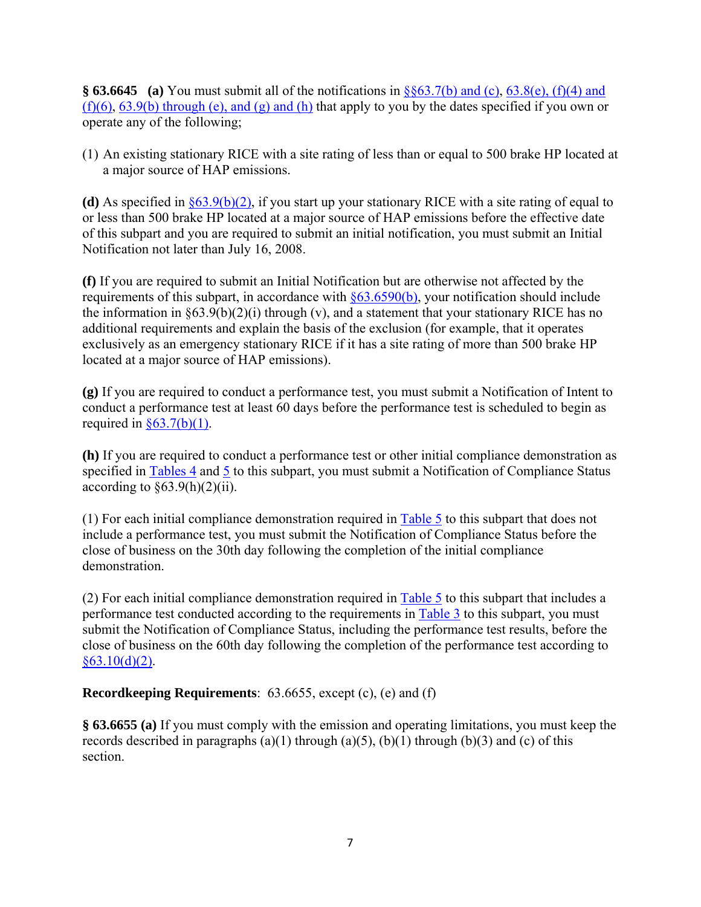**§ 63.6645 (a)** You must submit all of the notifications in [§§63.7\(b\) and \(c\)](http://ecfr.gpoaccess.gov/cgi/t/text/text-idx?c=ecfr&sid=d779d21ea1eaedb94bede740638c875a&rgn=div8&view=text&node=40:9.0.1.1.1.1.5.7&idno=40), [63.8\(e\), \(f\)\(4\) and](http://ecfr.gpoaccess.gov/cgi/t/text/text-idx?c=ecfr&sid=dc878fa5cf8237b03b7b19281bd5a59d&rgn=div8&view=text&node=40:13.0.1.1.1.9.178.5&idno=40)   $(f)(6)$ , [63.9\(b\) through \(e\), and \(g\) and \(h\)](http://ecfr.gpoaccess.gov/cgi/t/text/text-idx?c=ecfr&sid=d779d21ea1eaedb94bede740638c875a&rgn=div8&view=text&node=40:9.0.1.1.1.1.5.9&idno=40) that apply to you by the dates specified if you own or operate any of the following;

(1) An existing stationary RICE with a site rating of less than or equal to 500 brake HP located at a major source of HAP emissions.

**(d)** As specified in §63.9(b)(2), if you start up your stationary RICE with a site rating of equal to or less than 500 brake HP located at a major source of HAP emissions before the effective date of this subpart and you are required to submit an initial notification, you must submit an Initial Notification not later than July 16, 2008.

**(f)** If you are required to submit an Initial Notification but are otherwise not affected by the requirements of this subpart, in accordance with  $\S 63.6590(b)$ , your notification should include the information in  $\S 63.9(b)(2)(i)$  through (v), and a statement that your stationary RICE has no additional requirements and explain the basis of the exclusion (for example, that it operates exclusively as an emergency stationary RICE if it has a site rating of more than 500 brake HP located at a major source of HAP emissions).

**(g)** If you are required to conduct a performance test, you must submit a Notification of Intent to conduct a performance test at least 60 days before the performance test is scheduled to begin as required in  $\S 63.7(b)(1)$ .

**(h)** If you are required to conduct a performance test or other initial compliance demonstration as specified in [Tables 4](http://ecfr.gpoaccess.gov/cgi/t/text/text-idx?c=ecfr&sid=515d778a8a1bae4f834e821dd4d89f21&rgn=div9&view=text&node=40:13.0.1.1.1.1.116.27.8&idno=40) and [5](http://ecfr.gpoaccess.gov/cgi/t/text/text-idx?c=ecfr&sid=515d778a8a1bae4f834e821dd4d89f21&rgn=div9&view=text&node=40:13.0.1.1.1.1.116.27.9&idno=40) to this subpart, you must submit a Notification of Compliance Status according to  $\S 63.9(h)(2)(ii)$ .

(1) For each initial compliance demonstration required in [Table 5](http://ecfr.gpoaccess.gov/cgi/t/text/text-idx?c=ecfr&sid=515d778a8a1bae4f834e821dd4d89f21&rgn=div9&view=text&node=40:13.0.1.1.1.1.116.27.9&idno=40) to this subpart that does not include a performance test, you must submit the Notification of Compliance Status before the close of business on the 30th day following the completion of the initial compliance demonstration.

(2) For each initial compliance demonstration required in [Table 5](http://ecfr.gpoaccess.gov/cgi/t/text/text-idx?c=ecfr&sid=515d778a8a1bae4f834e821dd4d89f21&rgn=div9&view=text&node=40:13.0.1.1.1.1.116.27.9&idno=40) to this subpart that includes a performance test conducted according to the requirements in [Table 3](http://ecfr.gpoaccess.gov/cgi/t/text/text-idx?c=ecfr&sid=515d778a8a1bae4f834e821dd4d89f21&rgn=div9&view=text&node=40:13.0.1.1.1.1.116.27.7&idno=40) to this subpart, you must submit the Notification of Compliance Status, including the performance test results, before the close of business on the 60th day following the completion of the performance test according to  $§63.10(d)(2)$ .

**Recordkeeping Requirements**: 63.6655, except (c), (e) and (f)

**§ 63.6655 (a)** If you must comply with the emission and operating limitations, you must keep the records described in paragraphs (a)(1) through (a)(5), (b)(1) through (b)(3) and (c) of this section.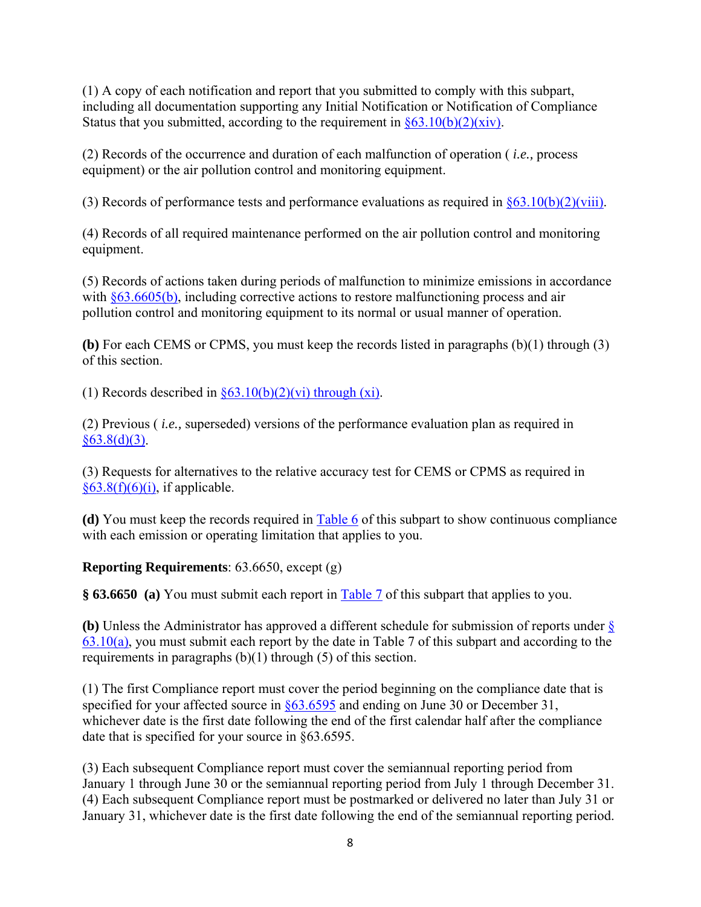(1) A copy of each notification and report that you submitted to comply with this subpart, including all documentation supporting any Initial Notification or Notification of Compliance Status that you submitted, according to the requirement in  $\S 63.10(b)(2)(xiv)$ .

(2) Records of the occurrence and duration of each malfunction of operation ( *i.e.,* process equipment) or the air pollution control and monitoring equipment.

(3) Records of performance tests and performance evaluations as required in  $\frac{\delta 63.10(b)(2)(viii)}{663.10(b)(2)(viii)}$ .

(4) Records of all required maintenance performed on the air pollution control and monitoring equipment.

(5) Records of actions taken during periods of malfunction to minimize emissions in accordance with [§63.6605\(b\)](http://ecfr.gpoaccess.gov/cgi/t/text/text-idx?c=ecfr&sid=dc878fa5cf8237b03b7b19281bd5a59d&rgn=div8&view=text&node=40:13.0.1.1.1.1.111.10&idno=40), including corrective actions to restore malfunctioning process and air pollution control and monitoring equipment to its normal or usual manner of operation.

**(b)** For each CEMS or CPMS, you must keep the records listed in paragraphs (b)(1) through (3) of this section.

(1) Records described in  $\frac{63.10(b)(2)}{v^2}$  through (xi).

(2) Previous ( *i.e.,* superseded) versions of the performance evaluation plan as required in  $§63.8(d)(3)$ .

(3) Requests for alternatives to the relative accuracy test for CEMS or CPMS as required in  $§63.8(f)(6)(i)$ , if applicable.

**(d)** You must keep the records required in [Table 6](http://ecfr.gpoaccess.gov/cgi/t/text/text-idx?c=ecfr&sid=515d778a8a1bae4f834e821dd4d89f21&rgn=div9&view=text&node=40:13.0.1.1.1.1.116.27.12&idno=40) of this subpart to show continuous compliance with each emission or operating limitation that applies to you.

# **Reporting Requirements**: 63.6650, except (g)

**§ 63.6650 (a)** You must submit each report in [Table 7](http://ecfr.gpoaccess.gov/cgi/t/text/text-idx?c=ecfr&sid=515d778a8a1bae4f834e821dd4d89f21&rgn=div9&view=text&node=40:13.0.1.1.1.1.116.27.11&idno=40) of this subpart that applies to you.

**(b)** Unless the Administrator has approved a different schedule for submission of reports under [§](http://ecfr.gpoaccess.gov/cgi/t/text/text-idx?c=ecfr&sid=d779d21ea1eaedb94bede740638c875a&rgn=div8&view=text&node=40:9.0.1.1.1.1.5.1&idno=40)   $63.10(a)$ , you must submit each report by the date in Table 7 of this subpart and according to the requirements in paragraphs (b)(1) through (5) of this section.

(1) The first Compliance report must cover the period beginning on the compliance date that is specified for your affected source in  $\S 63.6595$  and ending on June 30 or December 31, whichever date is the first date following the end of the first calendar half after the compliance date that is specified for your source in §63.6595.

(3) Each subsequent Compliance report must cover the semiannual reporting period from January 1 through June 30 or the semiannual reporting period from July 1 through December 31. (4) Each subsequent Compliance report must be postmarked or delivered no later than July 31 or January 31, whichever date is the first date following the end of the semiannual reporting period.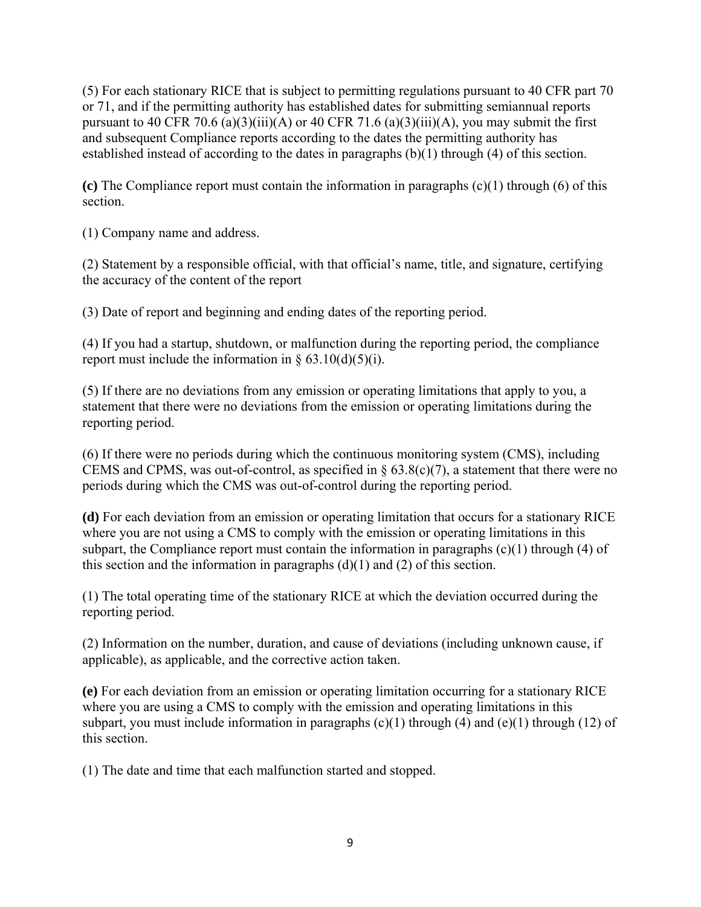(5) For each stationary RICE that is subject to permitting regulations pursuant to 40 CFR part 70 or 71, and if the permitting authority has established dates for submitting semiannual reports pursuant to 40 CFR 70.6 (a)(3)(iii)(A) or 40 CFR 71.6 (a)(3)(iii)(A), you may submit the first and subsequent Compliance reports according to the dates the permitting authority has established instead of according to the dates in paragraphs (b)(1) through (4) of this section.

**(c)** The Compliance report must contain the information in paragraphs (c)(1) through (6) of this section.

(1) Company name and address.

(2) Statement by a responsible official, with that official's name, title, and signature, certifying the accuracy of the content of the report

(3) Date of report and beginning and ending dates of the reporting period.

(4) If you had a startup, shutdown, or malfunction during the reporting period, the compliance report must include the information in  $\S$  63.10(d)(5)(i).

(5) If there are no deviations from any emission or operating limitations that apply to you, a statement that there were no deviations from the emission or operating limitations during the reporting period.

(6) If there were no periods during which the continuous monitoring system (CMS), including CEMS and CPMS, was out-of-control, as specified in  $\S 63.8(c)(7)$ , a statement that there were no periods during which the CMS was out-of-control during the reporting period.

**(d)** For each deviation from an emission or operating limitation that occurs for a stationary RICE where you are not using a CMS to comply with the emission or operating limitations in this subpart, the Compliance report must contain the information in paragraphs  $(c)(1)$  through  $(4)$  of this section and the information in paragraphs  $(d)(1)$  and  $(2)$  of this section.

(1) The total operating time of the stationary RICE at which the deviation occurred during the reporting period.

(2) Information on the number, duration, and cause of deviations (including unknown cause, if applicable), as applicable, and the corrective action taken.

**(e)** For each deviation from an emission or operating limitation occurring for a stationary RICE where you are using a CMS to comply with the emission and operating limitations in this subpart, you must include information in paragraphs  $(c)(1)$  through  $(4)$  and  $(e)(1)$  through  $(12)$  of this section.

(1) The date and time that each malfunction started and stopped.